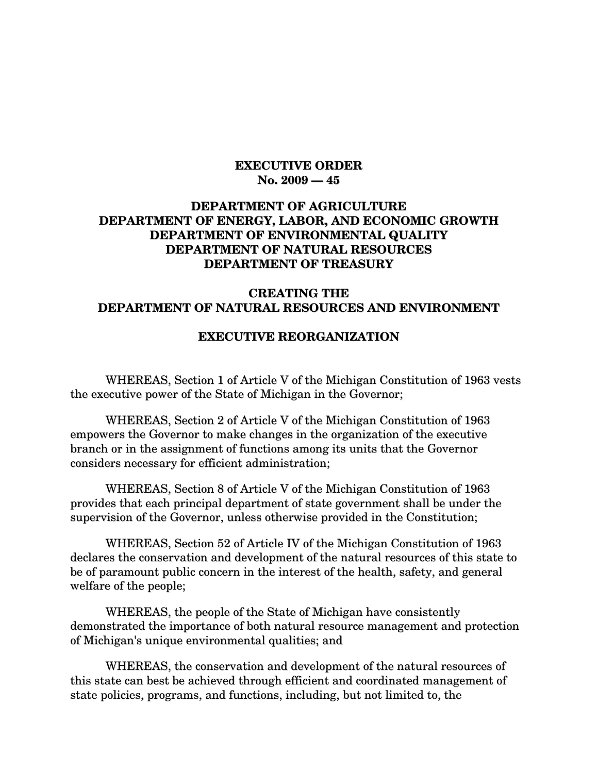#### **EXECUTIVE ORDER No. 2009 — 45**

#### **DEPARTMENT OF AGRICULTURE DEPARTMENT OF ENERGY, LABOR, AND ECONOMIC GROWTH DEPARTMENT OF ENVIRONMENTAL QUALITY DEPARTMENT OF NATURAL RESOURCES DEPARTMENT OF TREASURY**

#### **CREATING THE DEPARTMENT OF NATURAL RESOURCES AND ENVIRONMENT**

#### **EXECUTIVE REORGANIZATION**

WHEREAS, Section 1 of Article V of the Michigan Constitution of 1963 vests the executive power of the State of Michigan in the Governor;

WHEREAS, Section 2 of Article V of the Michigan Constitution of 1963 empowers the Governor to make changes in the organization of the executive branch or in the assignment of functions among its units that the Governor considers necessary for efficient administration;

WHEREAS, Section 8 of Article V of the Michigan Constitution of 1963 provides that each principal department of state government shall be under the supervision of the Governor, unless otherwise provided in the Constitution;

WHEREAS, Section 52 of Article IV of the Michigan Constitution of 1963 declares the conservation and development of the natural resources of this state to be of paramount public concern in the interest of the health, safety, and general welfare of the people;

WHEREAS, the people of the State of Michigan have consistently demonstrated the importance of both natural resource management and protection of Michigan's unique environmental qualities; and

WHEREAS, the conservation and development of the natural resources of this state can best be achieved through efficient and coordinated management of state policies, programs, and functions, including, but not limited to, the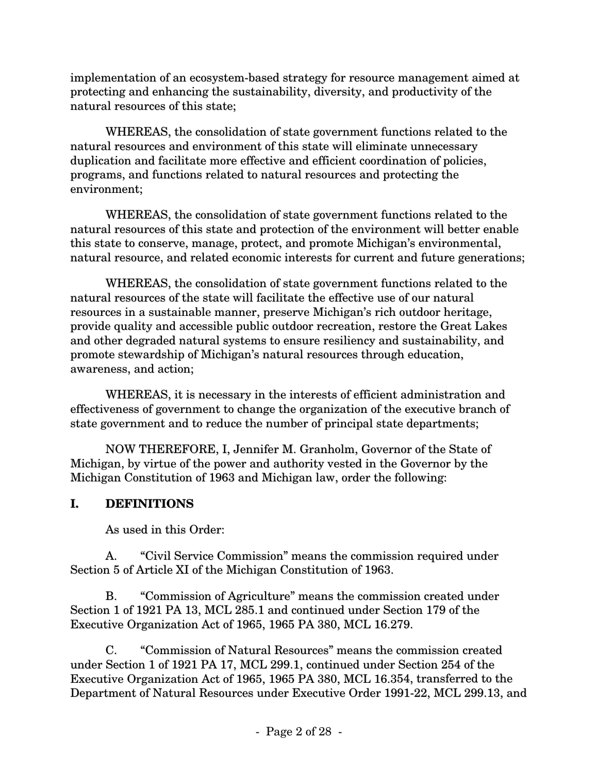implementation of an ecosystem-based strategy for resource management aimed at protecting and enhancing the sustainability, diversity, and productivity of the natural resources of this state;

WHEREAS, the consolidation of state government functions related to the natural resources and environment of this state will eliminate unnecessary duplication and facilitate more effective and efficient coordination of policies, programs, and functions related to natural resources and protecting the environment;

WHEREAS, the consolidation of state government functions related to the natural resources of this state and protection of the environment will better enable this state to conserve, manage, protect, and promote Michigan's environmental, natural resource, and related economic interests for current and future generations;

WHEREAS, the consolidation of state government functions related to the natural resources of the state will facilitate the effective use of our natural resources in a sustainable manner, preserve Michigan's rich outdoor heritage, provide quality and accessible public outdoor recreation, restore the Great Lakes and other degraded natural systems to ensure resiliency and sustainability, and promote stewardship of Michigan's natural resources through education, awareness, and action;

WHEREAS, it is necessary in the interests of efficient administration and effectiveness of government to change the organization of the executive branch of state government and to reduce the number of principal state departments;

NOW THEREFORE, I, Jennifer M. Granholm, Governor of the State of Michigan, by virtue of the power and authority vested in the Governor by the Michigan Constitution of 1963 and Michigan law, order the following:

### **I. DEFINITIONS**

As used in this Order:

A. "Civil Service Commission" means the commission required under Section 5 of Article XI of the Michigan Constitution of 1963.

B. "Commission of Agriculture" means the commission created under Section 1 of 1921 PA 13, MCL 285.1 and continued under Section 179 of the Executive Organization Act of 1965, 1965 PA 380, MCL 16.279.

C. "Commission of Natural Resources" means the commission created under Section 1 of 1921 PA 17, MCL 299.1, continued under Section 254 of the Executive Organization Act of 1965, 1965 PA 380, MCL 16.354, transferred to the Department of Natural Resources under Executive Order 1991-22, MCL 299.13, and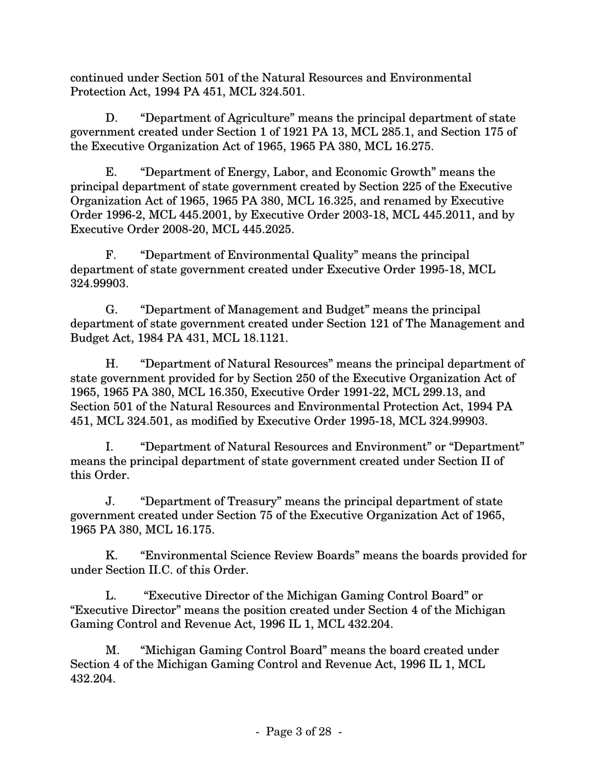continued under Section 501 of the Natural Resources and Environmental Protection Act, 1994 PA 451, MCL 324.501.

D. "Department of Agriculture" means the principal department of state government created under Section 1 of 1921 PA 13, MCL 285.1, and Section 175 of the Executive Organization Act of 1965, 1965 PA 380, MCL 16.275.

E. "Department of Energy, Labor, and Economic Growth" means the principal department of state government created by Section 225 of the Executive Organization Act of 1965, 1965 PA 380, MCL 16.325, and renamed by Executive Order 1996-2, MCL 445.2001, by Executive Order 2003-18, MCL 445.2011, and by Executive Order 2008-20, MCL 445.2025.

F. "Department of Environmental Quality" means the principal department of state government created under Executive Order 1995-18, MCL 324.99903.

G. "Department of Management and Budget" means the principal department of state government created under Section 121 of The Management and Budget Act, 1984 PA 431, MCL 18.1121.

H. "Department of Natural Resources" means the principal department of state government provided for by Section 250 of the Executive Organization Act of 1965, 1965 PA 380, MCL 16.350, Executive Order 1991-22, MCL 299.13, and Section 501 of the Natural Resources and Environmental Protection Act, 1994 PA 451, MCL 324.501, as modified by Executive Order 1995-18, MCL 324.99903.

I. "Department of Natural Resources and Environment" or "Department" means the principal department of state government created under Section II of this Order.

J. "Department of Treasury" means the principal department of state government created under Section 75 of the Executive Organization Act of 1965, 1965 PA 380, MCL 16.175.

K. "Environmental Science Review Boards" means the boards provided for under Section II.C. of this Order.

L. "Executive Director of the Michigan Gaming Control Board" or "Executive Director" means the position created under Section 4 of the Michigan Gaming Control and Revenue Act, 1996 IL 1, MCL 432.204.

M. "Michigan Gaming Control Board" means the board created under Section 4 of the Michigan Gaming Control and Revenue Act, 1996 IL 1, MCL 432.204.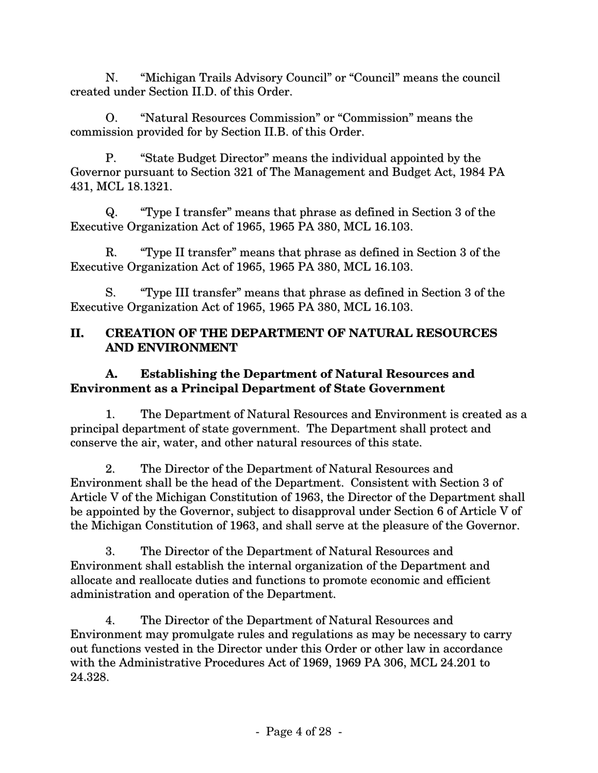N. "Michigan Trails Advisory Council" or "Council" means the council created under Section II.D. of this Order.

O. "Natural Resources Commission" or "Commission" means the commission provided for by Section II.B. of this Order.

P. "State Budget Director" means the individual appointed by the Governor pursuant to Section 321 of The Management and Budget Act, 1984 PA 431, MCL 18.1321.

Q. "Type I transfer" means that phrase as defined in Section 3 of the Executive Organization Act of 1965, 1965 PA 380, MCL 16.103.

R. "Type II transfer" means that phrase as defined in Section 3 of the Executive Organization Act of 1965, 1965 PA 380, MCL 16.103.

S. "Type III transfer" means that phrase as defined in Section 3 of the Executive Organization Act of 1965, 1965 PA 380, MCL 16.103.

### **II. CREATION OF THE DEPARTMENT OF NATURAL RESOURCES AND ENVIRONMENT**

### **A. Establishing the Department of Natural Resources and Environment as a Principal Department of State Government**

1. The Department of Natural Resources and Environment is created as a principal department of state government. The Department shall protect and conserve the air, water, and other natural resources of this state.

2. The Director of the Department of Natural Resources and Environment shall be the head of the Department. Consistent with Section 3 of Article V of the Michigan Constitution of 1963, the Director of the Department shall be appointed by the Governor, subject to disapproval under Section 6 of Article V of the Michigan Constitution of 1963, and shall serve at the pleasure of the Governor.

3. The Director of the Department of Natural Resources and Environment shall establish the internal organization of the Department and allocate and reallocate duties and functions to promote economic and efficient administration and operation of the Department.

4. The Director of the Department of Natural Resources and Environment may promulgate rules and regulations as may be necessary to carry out functions vested in the Director under this Order or other law in accordance with the Administrative Procedures Act of 1969, 1969 PA 306, MCL 24.201 to 24.328.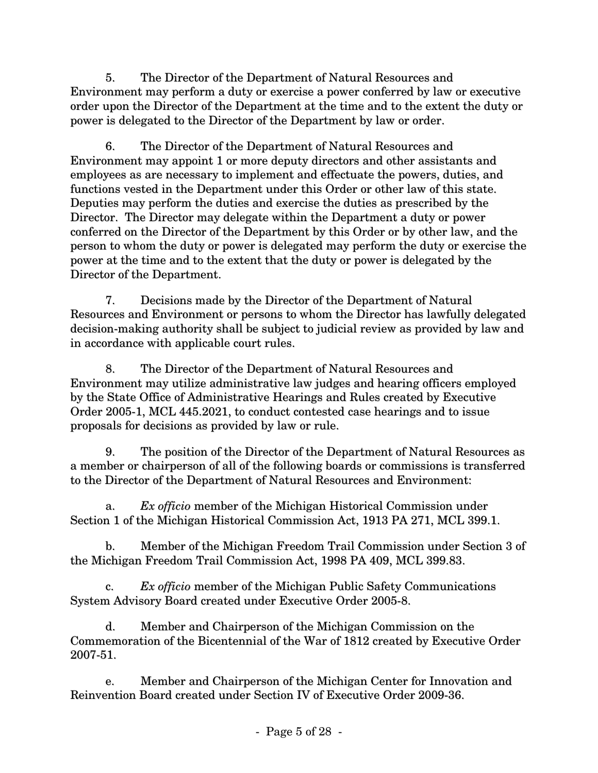5. The Director of the Department of Natural Resources and Environment may perform a duty or exercise a power conferred by law or executive order upon the Director of the Department at the time and to the extent the duty or power is delegated to the Director of the Department by law or order.

6. The Director of the Department of Natural Resources and Environment may appoint 1 or more deputy directors and other assistants and employees as are necessary to implement and effectuate the powers, duties, and functions vested in the Department under this Order or other law of this state. Deputies may perform the duties and exercise the duties as prescribed by the Director. The Director may delegate within the Department a duty or power conferred on the Director of the Department by this Order or by other law, and the person to whom the duty or power is delegated may perform the duty or exercise the power at the time and to the extent that the duty or power is delegated by the Director of the Department.

7. Decisions made by the Director of the Department of Natural Resources and Environment or persons to whom the Director has lawfully delegated decision-making authority shall be subject to judicial review as provided by law and in accordance with applicable court rules.

8. The Director of the Department of Natural Resources and Environment may utilize administrative law judges and hearing officers employed by the State Office of Administrative Hearings and Rules created by Executive Order 2005-1, MCL 445.2021, to conduct contested case hearings and to issue proposals for decisions as provided by law or rule.

9. The position of the Director of the Department of Natural Resources as a member or chairperson of all of the following boards or commissions is transferred to the Director of the Department of Natural Resources and Environment:

a. *Ex officio* member of the Michigan Historical Commission under Section 1 of the Michigan Historical Commission Act, 1913 PA 271, MCL 399.1.

b. Member of the Michigan Freedom Trail Commission under Section 3 of the Michigan Freedom Trail Commission Act, 1998 PA 409, MCL 399.83.

c. *Ex officio* member of the Michigan Public Safety Communications System Advisory Board created under Executive Order 2005-8.

d. Member and Chairperson of the Michigan Commission on the Commemoration of the Bicentennial of the War of 1812 created by Executive Order 2007-51.

e. Member and Chairperson of the Michigan Center for Innovation and Reinvention Board created under Section IV of Executive Order 2009-36.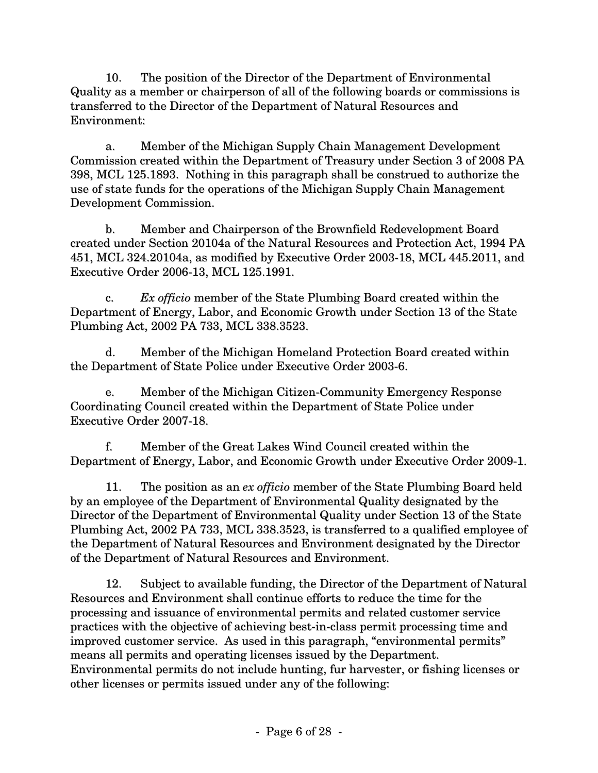10. The position of the Director of the Department of Environmental Quality as a member or chairperson of all of the following boards or commissions is transferred to the Director of the Department of Natural Resources and Environment:

a. Member of the Michigan Supply Chain Management Development Commission created within the Department of Treasury under Section 3 of 2008 PA 398, MCL 125.1893. Nothing in this paragraph shall be construed to authorize the use of state funds for the operations of the Michigan Supply Chain Management Development Commission.

b. Member and Chairperson of the Brownfield Redevelopment Board created under Section 20104a of the Natural Resources and Protection Act, 1994 PA 451, MCL 324.20104a, as modified by Executive Order 2003-18, MCL 445.2011, and Executive Order 2006-13, MCL 125.1991.

c. *Ex officio* member of the State Plumbing Board created within the Department of Energy, Labor, and Economic Growth under Section 13 of the State Plumbing Act, 2002 PA 733, MCL 338.3523.

d. Member of the Michigan Homeland Protection Board created within the Department of State Police under Executive Order 2003-6.

e. Member of the Michigan Citizen-Community Emergency Response Coordinating Council created within the Department of State Police under Executive Order 2007-18.

f. Member of the Great Lakes Wind Council created within the Department of Energy, Labor, and Economic Growth under Executive Order 2009-1.

11. The position as an *ex officio* member of the State Plumbing Board held by an employee of the Department of Environmental Quality designated by the Director of the Department of Environmental Quality under Section 13 of the State Plumbing Act, 2002 PA 733, MCL 338.3523, is transferred to a qualified employee of the Department of Natural Resources and Environment designated by the Director of the Department of Natural Resources and Environment.

12. Subject to available funding, the Director of the Department of Natural Resources and Environment shall continue efforts to reduce the time for the processing and issuance of environmental permits and related customer service practices with the objective of achieving best-in-class permit processing time and improved customer service. As used in this paragraph, "environmental permits" means all permits and operating licenses issued by the Department. Environmental permits do not include hunting, fur harvester, or fishing licenses or other licenses or permits issued under any of the following: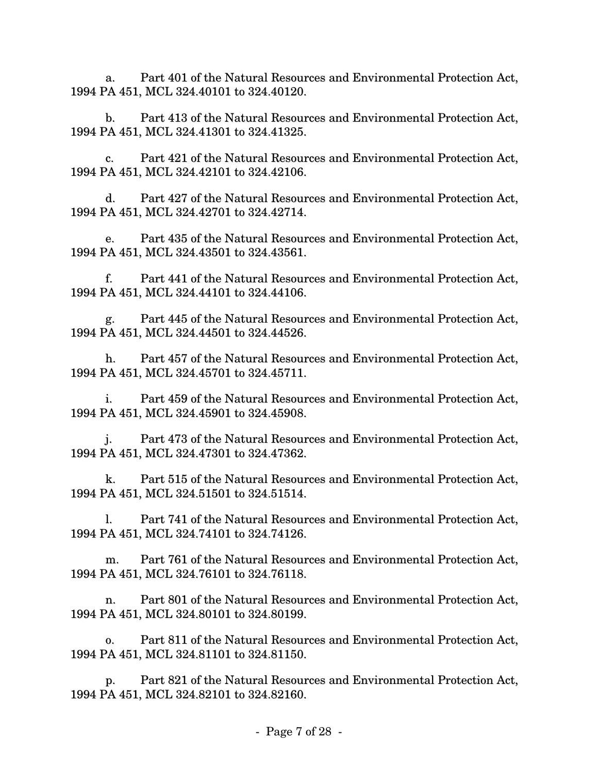a. Part 401 of the Natural Resources and Environmental Protection Act, 1994 PA 451, MCL 324.40101 to 324.40120.

b. Part 413 of the Natural Resources and Environmental Protection Act, 1994 PA 451, MCL 324.41301 to 324.41325.

c. Part 421 of the Natural Resources and Environmental Protection Act, 1994 PA 451, MCL 324.42101 to 324.42106.

d. Part 427 of the Natural Resources and Environmental Protection Act, 1994 PA 451, MCL 324.42701 to 324.42714.

e. Part 435 of the Natural Resources and Environmental Protection Act, 1994 PA 451, MCL 324.43501 to 324.43561.

f. Part 441 of the Natural Resources and Environmental Protection Act, 1994 PA 451, MCL 324.44101 to 324.44106.

g. Part 445 of the Natural Resources and Environmental Protection Act, 1994 PA 451, MCL 324.44501 to 324.44526.

h. Part 457 of the Natural Resources and Environmental Protection Act, 1994 PA 451, MCL 324.45701 to 324.45711.

i. Part 459 of the Natural Resources and Environmental Protection Act, 1994 PA 451, MCL 324.45901 to 324.45908.

j. Part 473 of the Natural Resources and Environmental Protection Act, 1994 PA 451, MCL 324.47301 to 324.47362.

k. Part 515 of the Natural Resources and Environmental Protection Act, 1994 PA 451, MCL 324.51501 to 324.51514.

l. Part 741 of the Natural Resources and Environmental Protection Act, 1994 PA 451, MCL 324.74101 to 324.74126.

m. Part 761 of the Natural Resources and Environmental Protection Act, 1994 PA 451, MCL 324.76101 to 324.76118.

n. Part 801 of the Natural Resources and Environmental Protection Act, 1994 PA 451, MCL 324.80101 to 324.80199.

o. Part 811 of the Natural Resources and Environmental Protection Act, 1994 PA 451, MCL 324.81101 to 324.81150.

p. Part 821 of the Natural Resources and Environmental Protection Act, 1994 PA 451, MCL 324.82101 to 324.82160.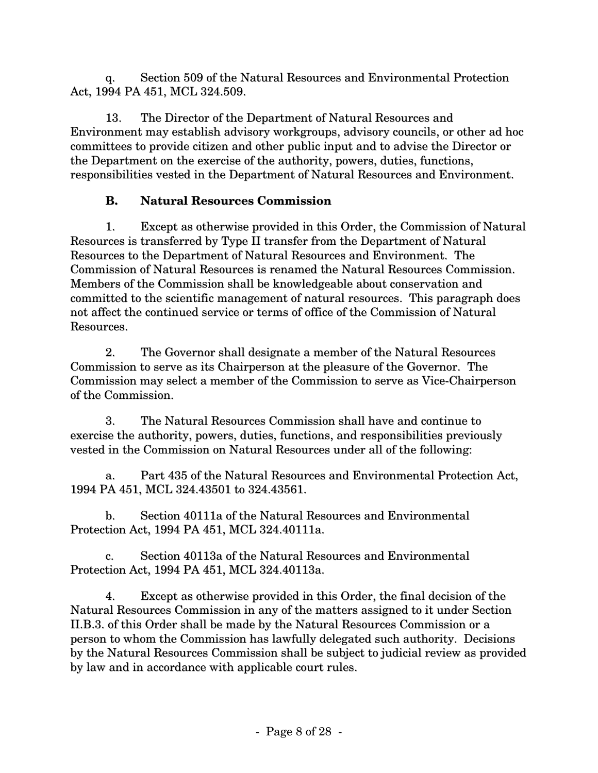q. Section 509 of the Natural Resources and Environmental Protection Act, 1994 PA 451, MCL 324.509.

13. The Director of the Department of Natural Resources and Environment may establish advisory workgroups, advisory councils, or other ad hoc committees to provide citizen and other public input and to advise the Director or the Department on the exercise of the authority, powers, duties, functions, responsibilities vested in the Department of Natural Resources and Environment.

### **B. Natural Resources Commission**

1. Except as otherwise provided in this Order, the Commission of Natural Resources is transferred by Type II transfer from the Department of Natural Resources to the Department of Natural Resources and Environment. The Commission of Natural Resources is renamed the Natural Resources Commission. Members of the Commission shall be knowledgeable about conservation and committed to the scientific management of natural resources. This paragraph does not affect the continued service or terms of office of the Commission of Natural Resources.

2. The Governor shall designate a member of the Natural Resources Commission to serve as its Chairperson at the pleasure of the Governor. The Commission may select a member of the Commission to serve as Vice-Chairperson of the Commission.

3. The Natural Resources Commission shall have and continue to exercise the authority, powers, duties, functions, and responsibilities previously vested in the Commission on Natural Resources under all of the following:

a. Part 435 of the Natural Resources and Environmental Protection Act, 1994 PA 451, MCL 324.43501 to 324.43561.

b. Section 40111a of the Natural Resources and Environmental Protection Act, 1994 PA 451, MCL 324.40111a.

c. Section 40113a of the Natural Resources and Environmental Protection Act, 1994 PA 451, MCL 324.40113a.

4. Except as otherwise provided in this Order, the final decision of the Natural Resources Commission in any of the matters assigned to it under Section II.B.3. of this Order shall be made by the Natural Resources Commission or a person to whom the Commission has lawfully delegated such authority. Decisions by the Natural Resources Commission shall be subject to judicial review as provided by law and in accordance with applicable court rules.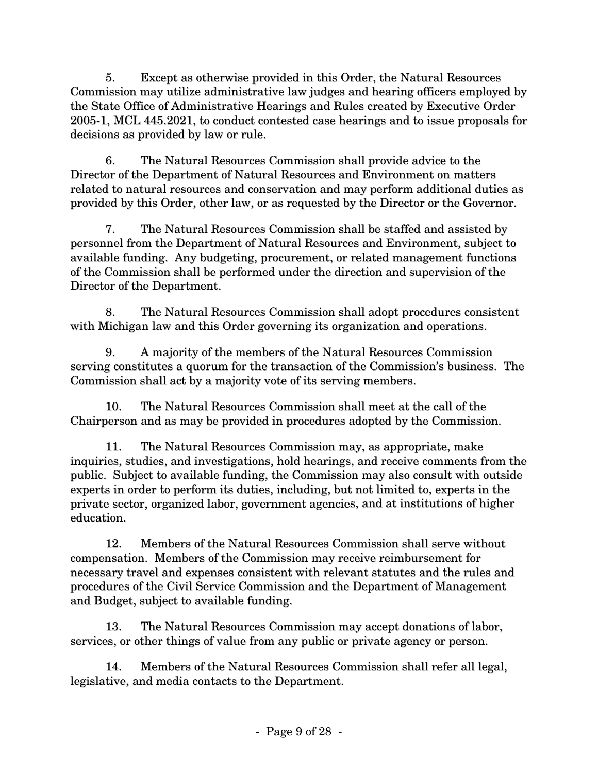5. Except as otherwise provided in this Order, the Natural Resources Commission may utilize administrative law judges and hearing officers employed by the State Office of Administrative Hearings and Rules created by Executive Order 2005-1, MCL 445.2021, to conduct contested case hearings and to issue proposals for decisions as provided by law or rule.

6. The Natural Resources Commission shall provide advice to the Director of the Department of Natural Resources and Environment on matters related to natural resources and conservation and may perform additional duties as provided by this Order, other law, or as requested by the Director or the Governor.

7. The Natural Resources Commission shall be staffed and assisted by personnel from the Department of Natural Resources and Environment, subject to available funding. Any budgeting, procurement, or related management functions of the Commission shall be performed under the direction and supervision of the Director of the Department.

8. The Natural Resources Commission shall adopt procedures consistent with Michigan law and this Order governing its organization and operations.

9. A majority of the members of the Natural Resources Commission serving constitutes a quorum for the transaction of the Commission's business. The Commission shall act by a majority vote of its serving members.

10. The Natural Resources Commission shall meet at the call of the Chairperson and as may be provided in procedures adopted by the Commission.

11. The Natural Resources Commission may, as appropriate, make inquiries, studies, and investigations, hold hearings, and receive comments from the public. Subject to available funding, the Commission may also consult with outside experts in order to perform its duties, including, but not limited to, experts in the private sector, organized labor, government agencies, and at institutions of higher education.

12. Members of the Natural Resources Commission shall serve without compensation. Members of the Commission may receive reimbursement for necessary travel and expenses consistent with relevant statutes and the rules and procedures of the Civil Service Commission and the Department of Management and Budget, subject to available funding.

13. The Natural Resources Commission may accept donations of labor, services, or other things of value from any public or private agency or person.

14. Members of the Natural Resources Commission shall refer all legal, legislative, and media contacts to the Department.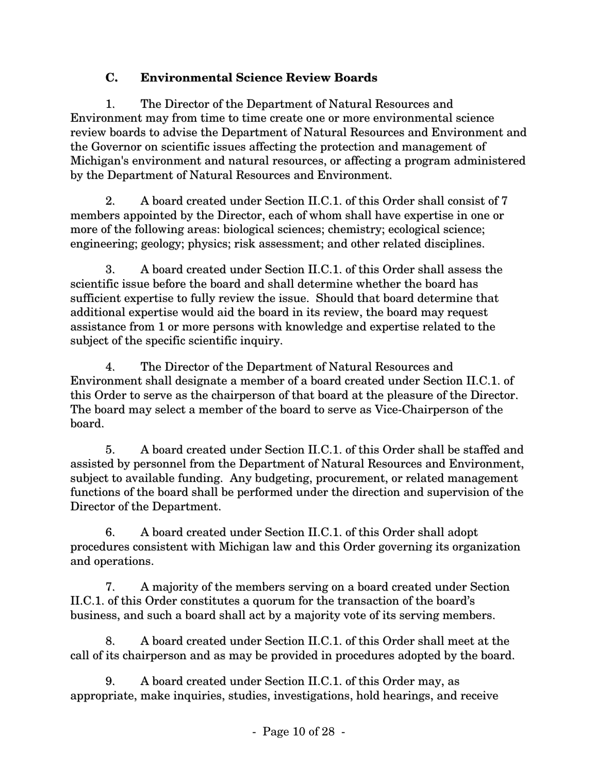### **C. Environmental Science Review Boards**

1. The Director of the Department of Natural Resources and Environment may from time to time create one or more environmental science review boards to advise the Department of Natural Resources and Environment and the Governor on scientific issues affecting the protection and management of Michigan's environment and natural resources, or affecting a program administered by the Department of Natural Resources and Environment.

2. A board created under Section II.C.1. of this Order shall consist of 7 members appointed by the Director, each of whom shall have expertise in one or more of the following areas: biological sciences; chemistry; ecological science; engineering; geology; physics; risk assessment; and other related disciplines.

3. A board created under Section II.C.1. of this Order shall assess the scientific issue before the board and shall determine whether the board has sufficient expertise to fully review the issue. Should that board determine that additional expertise would aid the board in its review, the board may request assistance from 1 or more persons with knowledge and expertise related to the subject of the specific scientific inquiry.

4. The Director of the Department of Natural Resources and Environment shall designate a member of a board created under Section II.C.1. of this Order to serve as the chairperson of that board at the pleasure of the Director. The board may select a member of the board to serve as Vice-Chairperson of the board.

5. A board created under Section II.C.1. of this Order shall be staffed and assisted by personnel from the Department of Natural Resources and Environment, subject to available funding. Any budgeting, procurement, or related management functions of the board shall be performed under the direction and supervision of the Director of the Department.

6. A board created under Section II.C.1. of this Order shall adopt procedures consistent with Michigan law and this Order governing its organization and operations.

7. A majority of the members serving on a board created under Section II.C.1. of this Order constitutes a quorum for the transaction of the board's business, and such a board shall act by a majority vote of its serving members.

8. A board created under Section II.C.1. of this Order shall meet at the call of its chairperson and as may be provided in procedures adopted by the board.

9. A board created under Section II.C.1. of this Order may, as appropriate, make inquiries, studies, investigations, hold hearings, and receive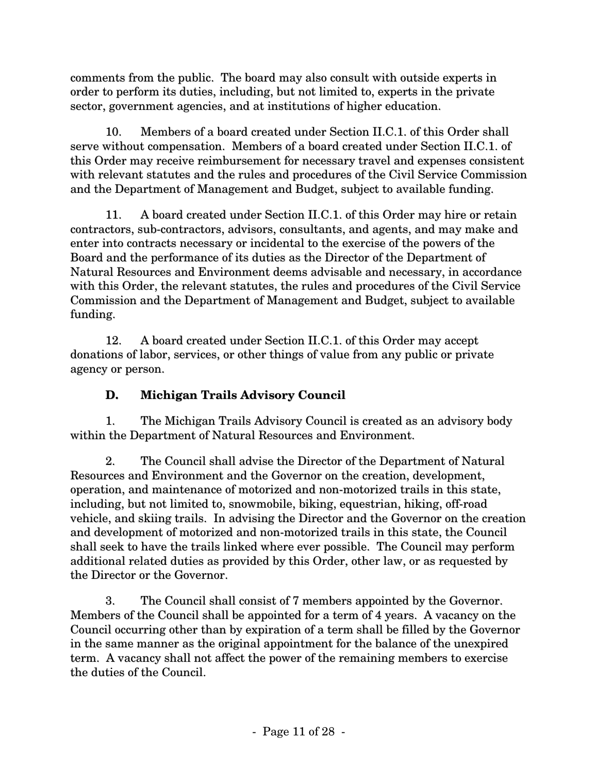comments from the public. The board may also consult with outside experts in order to perform its duties, including, but not limited to, experts in the private sector, government agencies, and at institutions of higher education.

10. Members of a board created under Section II.C.1. of this Order shall serve without compensation. Members of a board created under Section II.C.1. of this Order may receive reimbursement for necessary travel and expenses consistent with relevant statutes and the rules and procedures of the Civil Service Commission and the Department of Management and Budget, subject to available funding.

11. A board created under Section II.C.1. of this Order may hire or retain contractors, sub-contractors, advisors, consultants, and agents, and may make and enter into contracts necessary or incidental to the exercise of the powers of the Board and the performance of its duties as the Director of the Department of Natural Resources and Environment deems advisable and necessary, in accordance with this Order, the relevant statutes, the rules and procedures of the Civil Service Commission and the Department of Management and Budget, subject to available funding.

12. A board created under Section II.C.1. of this Order may accept donations of labor, services, or other things of value from any public or private agency or person.

### **D. Michigan Trails Advisory Council**

1. The Michigan Trails Advisory Council is created as an advisory body within the Department of Natural Resources and Environment.

2. The Council shall advise the Director of the Department of Natural Resources and Environment and the Governor on the creation, development, operation, and maintenance of motorized and non-motorized trails in this state, including, but not limited to, snowmobile, biking, equestrian, hiking, off-road vehicle, and skiing trails. In advising the Director and the Governor on the creation and development of motorized and non-motorized trails in this state, the Council shall seek to have the trails linked where ever possible. The Council may perform additional related duties as provided by this Order, other law, or as requested by the Director or the Governor.

3. The Council shall consist of 7 members appointed by the Governor. Members of the Council shall be appointed for a term of 4 years. A vacancy on the Council occurring other than by expiration of a term shall be filled by the Governor in the same manner as the original appointment for the balance of the unexpired term. A vacancy shall not affect the power of the remaining members to exercise the duties of the Council.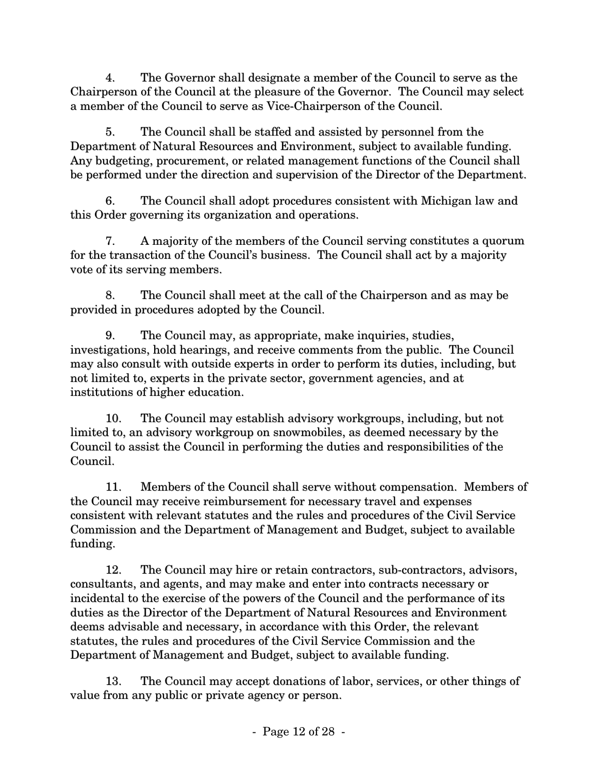4. The Governor shall designate a member of the Council to serve as the Chairperson of the Council at the pleasure of the Governor. The Council may select a member of the Council to serve as Vice-Chairperson of the Council.

5. The Council shall be staffed and assisted by personnel from the Department of Natural Resources and Environment, subject to available funding. Any budgeting, procurement, or related management functions of the Council shall be performed under the direction and supervision of the Director of the Department.

6. The Council shall adopt procedures consistent with Michigan law and this Order governing its organization and operations.

7. A majority of the members of the Council serving constitutes a quorum for the transaction of the Council's business. The Council shall act by a majority vote of its serving members.

8. The Council shall meet at the call of the Chairperson and as may be provided in procedures adopted by the Council.

9. The Council may, as appropriate, make inquiries, studies, investigations, hold hearings, and receive comments from the public. The Council may also consult with outside experts in order to perform its duties, including, but not limited to, experts in the private sector, government agencies, and at institutions of higher education.

10. The Council may establish advisory workgroups, including, but not limited to, an advisory workgroup on snowmobiles, as deemed necessary by the Council to assist the Council in performing the duties and responsibilities of the Council.

11. Members of the Council shall serve without compensation. Members of the Council may receive reimbursement for necessary travel and expenses consistent with relevant statutes and the rules and procedures of the Civil Service Commission and the Department of Management and Budget, subject to available funding.

12. The Council may hire or retain contractors, sub-contractors, advisors, consultants, and agents, and may make and enter into contracts necessary or incidental to the exercise of the powers of the Council and the performance of its duties as the Director of the Department of Natural Resources and Environment deems advisable and necessary, in accordance with this Order, the relevant statutes, the rules and procedures of the Civil Service Commission and the Department of Management and Budget, subject to available funding.

13. The Council may accept donations of labor, services, or other things of value from any public or private agency or person.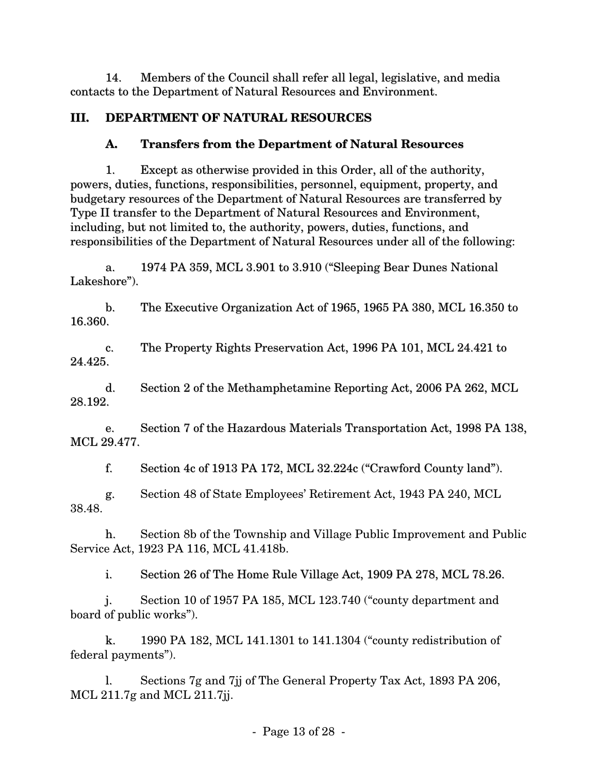14. Members of the Council shall refer all legal, legislative, and media contacts to the Department of Natural Resources and Environment.

### **III. DEPARTMENT OF NATURAL RESOURCES**

### **A. Transfers from the Department of Natural Resources**

1. Except as otherwise provided in this Order, all of the authority, powers, duties, functions, responsibilities, personnel, equipment, property, and budgetary resources of the Department of Natural Resources are transferred by Type II transfer to the Department of Natural Resources and Environment, including, but not limited to, the authority, powers, duties, functions, and responsibilities of the Department of Natural Resources under all of the following:

a. 1974 PA 359, MCL 3.901 to 3.910 ("Sleeping Bear Dunes National Lakeshore").

b. The Executive Organization Act of 1965, 1965 PA 380, MCL 16.350 to 16.360.

c. The Property Rights Preservation Act, 1996 PA 101, MCL 24.421 to 24.425.

d. Section 2 of the Methamphetamine Reporting Act, 2006 PA 262, MCL 28.192.

e. Section 7 of the Hazardous Materials Transportation Act, 1998 PA 138, MCL 29.477.

f. Section 4c of 1913 PA 172, MCL 32.224c ("Crawford County land").

g. Section 48 of State Employees' Retirement Act, 1943 PA 240, MCL 38.48.

h. Section 8b of the Township and Village Public Improvement and Public Service Act, 1923 PA 116, MCL 41.418b.

i. Section 26 of The Home Rule Village Act, 1909 PA 278, MCL 78.26.

j. Section 10 of 1957 PA 185, MCL 123.740 ("county department and board of public works").

k. 1990 PA 182, MCL 141.1301 to 141.1304 ("county redistribution of federal payments").

l. Sections 7g and 7jj of The General Property Tax Act, 1893 PA 206, MCL 211.7g and MCL 211.7jj.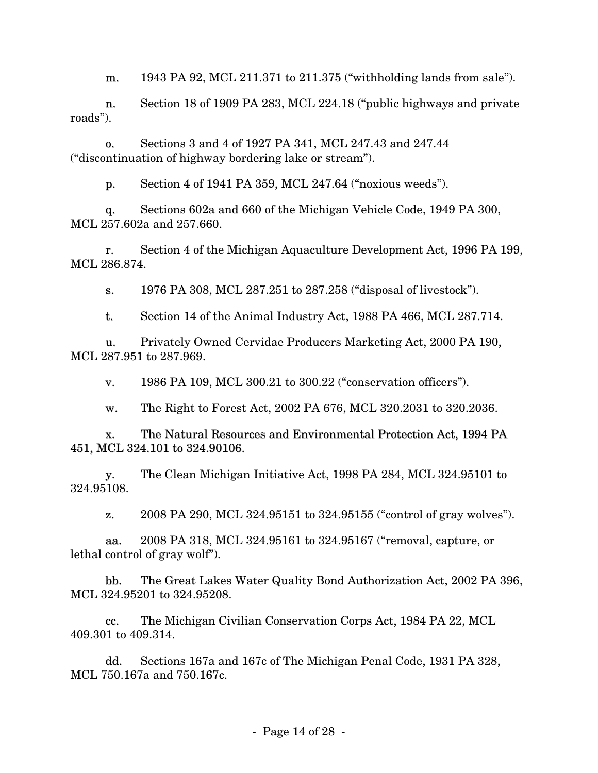m. 1943 PA 92, MCL 211.371 to 211.375 ("withholding lands from sale").

n. Section 18 of 1909 PA 283, MCL 224.18 ("public highways and private roads").

o. Sections 3 and 4 of 1927 PA 341, MCL 247.43 and 247.44 ("discontinuation of highway bordering lake or stream").

p. Section 4 of 1941 PA 359, MCL 247.64 ("noxious weeds").

q. Sections 602a and 660 of the Michigan Vehicle Code, 1949 PA 300, MCL 257.602a and 257.660.

r. Section 4 of the Michigan Aquaculture Development Act, 1996 PA 199, MCL 286.874.

s. 1976 PA 308, MCL 287.251 to 287.258 ("disposal of livestock").

t. Section 14 of the Animal Industry Act, 1988 PA 466, MCL 287.714.

u. Privately Owned Cervidae Producers Marketing Act, 2000 PA 190, MCL 287.951 to 287.969.

v. 1986 PA 109, MCL 300.21 to 300.22 ("conservation officers").

w. The Right to Forest Act, 2002 PA 676, MCL 320.2031 to 320.2036.

x. The Natural Resources and Environmental Protection Act, 1994 PA 451, MCL 324.101 to 324.90106.

y. The Clean Michigan Initiative Act, 1998 PA 284, MCL 324.95101 to 324.95108.

z. 2008 PA 290, MCL 324.95151 to 324.95155 ("control of gray wolves").

aa. 2008 PA 318, MCL 324.95161 to 324.95167 ("removal, capture, or lethal control of gray wolf").

bb. The Great Lakes Water Quality Bond Authorization Act, 2002 PA 396, MCL 324.95201 to 324.95208.

cc. The Michigan Civilian Conservation Corps Act, 1984 PA 22, MCL 409.301 to 409.314.

dd. Sections 167a and 167c of The Michigan Penal Code, 1931 PA 328, MCL 750.167a and 750.167c.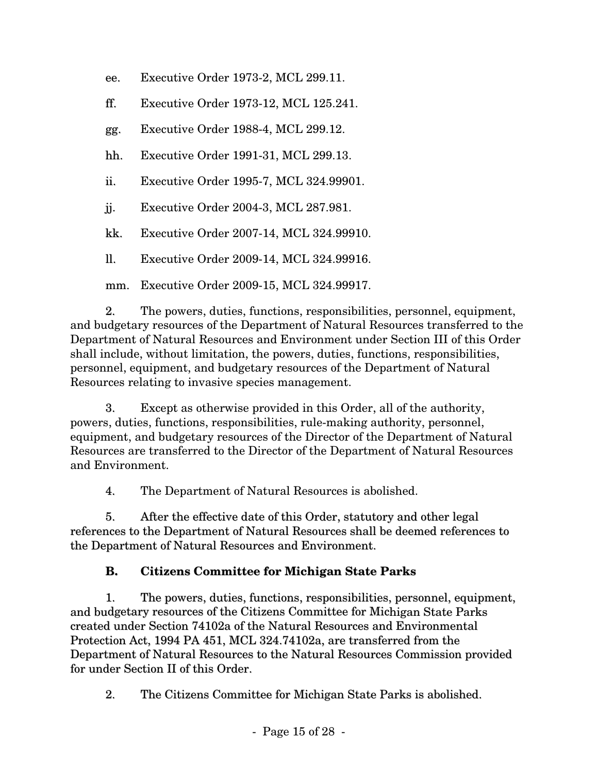- ee. Executive Order 1973-2, MCL 299.11.
- ff. Executive Order 1973-12, MCL 125.241.
- gg. Executive Order 1988-4, MCL 299.12.
- hh. Executive Order 1991-31, MCL 299.13.
- ii. Executive Order 1995-7, MCL 324.99901.
- jj. Executive Order 2004-3, MCL 287.981.
- kk. Executive Order 2007-14, MCL 324.99910.
- ll. Executive Order 2009-14, MCL 324.99916.
- mm. Executive Order 2009-15, MCL 324.99917.

2. The powers, duties, functions, responsibilities, personnel, equipment, and budgetary resources of the Department of Natural Resources transferred to the Department of Natural Resources and Environment under Section III of this Order shall include, without limitation, the powers, duties, functions, responsibilities, personnel, equipment, and budgetary resources of the Department of Natural Resources relating to invasive species management.

3. Except as otherwise provided in this Order, all of the authority, powers, duties, functions, responsibilities, rule-making authority, personnel, equipment, and budgetary resources of the Director of the Department of Natural Resources are transferred to the Director of the Department of Natural Resources and Environment.

4. The Department of Natural Resources is abolished.

5. After the effective date of this Order, statutory and other legal references to the Department of Natural Resources shall be deemed references to the Department of Natural Resources and Environment.

#### **B. Citizens Committee for Michigan State Parks**

1. The powers, duties, functions, responsibilities, personnel, equipment, and budgetary resources of the Citizens Committee for Michigan State Parks created under Section 74102a of the Natural Resources and Environmental Protection Act, 1994 PA 451, MCL 324.74102a, are transferred from the Department of Natural Resources to the Natural Resources Commission provided for under Section II of this Order.

2. The Citizens Committee for Michigan State Parks is abolished.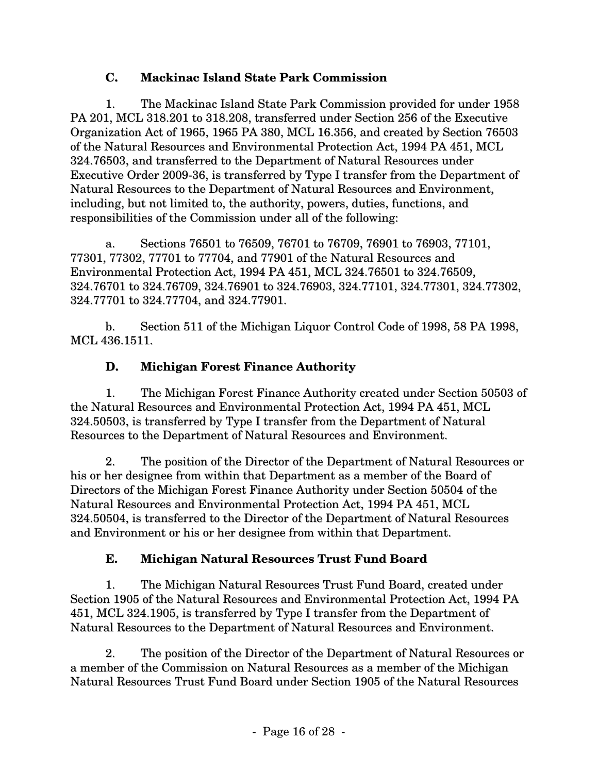### **C. Mackinac Island State Park Commission**

1. The Mackinac Island State Park Commission provided for under 1958 PA 201, MCL 318.201 to 318.208, transferred under Section 256 of the Executive Organization Act of 1965, 1965 PA 380, MCL 16.356, and created by Section 76503 of the Natural Resources and Environmental Protection Act, 1994 PA 451, MCL 324.76503, and transferred to the Department of Natural Resources under Executive Order 2009-36, is transferred by Type I transfer from the Department of Natural Resources to the Department of Natural Resources and Environment, including, but not limited to, the authority, powers, duties, functions, and responsibilities of the Commission under all of the following:

a. Sections 76501 to 76509, 76701 to 76709, 76901 to 76903, 77101, 77301, 77302, 77701 to 77704, and 77901 of the Natural Resources and Environmental Protection Act, 1994 PA 451, MCL 324.76501 to 324.76509, 324.76701 to 324.76709, 324.76901 to 324.76903, 324.77101, 324.77301, 324.77302, 324.77701 to 324.77704, and 324.77901.

b. Section 511 of the Michigan Liquor Control Code of 1998, 58 PA 1998, MCL 436.1511.

### **D. Michigan Forest Finance Authority**

1. The Michigan Forest Finance Authority created under Section 50503 of the Natural Resources and Environmental Protection Act, 1994 PA 451, MCL 324.50503, is transferred by Type I transfer from the Department of Natural Resources to the Department of Natural Resources and Environment.

2. The position of the Director of the Department of Natural Resources or his or her designee from within that Department as a member of the Board of Directors of the Michigan Forest Finance Authority under Section 50504 of the Natural Resources and Environmental Protection Act, 1994 PA 451, MCL 324.50504, is transferred to the Director of the Department of Natural Resources and Environment or his or her designee from within that Department.

### **E. Michigan Natural Resources Trust Fund Board**

1. The Michigan Natural Resources Trust Fund Board, created under Section 1905 of the Natural Resources and Environmental Protection Act, 1994 PA 451, MCL 324.1905, is transferred by Type I transfer from the Department of Natural Resources to the Department of Natural Resources and Environment.

2. The position of the Director of the Department of Natural Resources or a member of the Commission on Natural Resources as a member of the Michigan Natural Resources Trust Fund Board under Section 1905 of the Natural Resources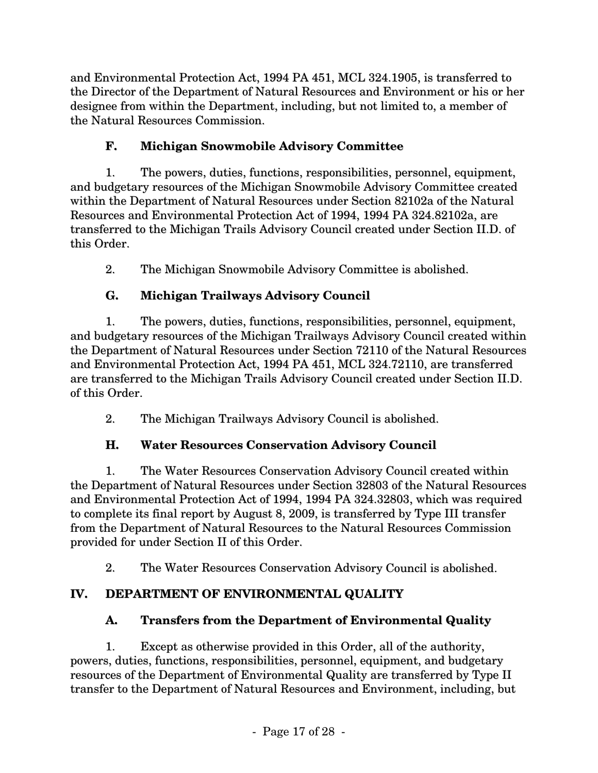and Environmental Protection Act, 1994 PA 451, MCL 324.1905, is transferred to the Director of the Department of Natural Resources and Environment or his or her designee from within the Department, including, but not limited to, a member of the Natural Resources Commission.

### **F. Michigan Snowmobile Advisory Committee**

1. The powers, duties, functions, responsibilities, personnel, equipment, and budgetary resources of the Michigan Snowmobile Advisory Committee created within the Department of Natural Resources under Section 82102a of the Natural Resources and Environmental Protection Act of 1994, 1994 PA 324.82102a, are transferred to the Michigan Trails Advisory Council created under Section II.D. of this Order.

2. The Michigan Snowmobile Advisory Committee is abolished.

# **G. Michigan Trailways Advisory Council**

1. The powers, duties, functions, responsibilities, personnel, equipment, and budgetary resources of the Michigan Trailways Advisory Council created within the Department of Natural Resources under Section 72110 of the Natural Resources and Environmental Protection Act, 1994 PA 451, MCL 324.72110, are transferred are transferred to the Michigan Trails Advisory Council created under Section II.D. of this Order.

2. The Michigan Trailways Advisory Council is abolished.

# **H. Water Resources Conservation Advisory Council**

1. The Water Resources Conservation Advisory Council created within the Department of Natural Resources under Section 32803 of the Natural Resources and Environmental Protection Act of 1994, 1994 PA 324.32803, which was required to complete its final report by August 8, 2009, is transferred by Type III transfer from the Department of Natural Resources to the Natural Resources Commission provided for under Section II of this Order.

2. The Water Resources Conservation Advisory Council is abolished.

# **IV. DEPARTMENT OF ENVIRONMENTAL QUALITY**

# **A. Transfers from the Department of Environmental Quality**

1. Except as otherwise provided in this Order, all of the authority, powers, duties, functions, responsibilities, personnel, equipment, and budgetary resources of the Department of Environmental Quality are transferred by Type II transfer to the Department of Natural Resources and Environment, including, but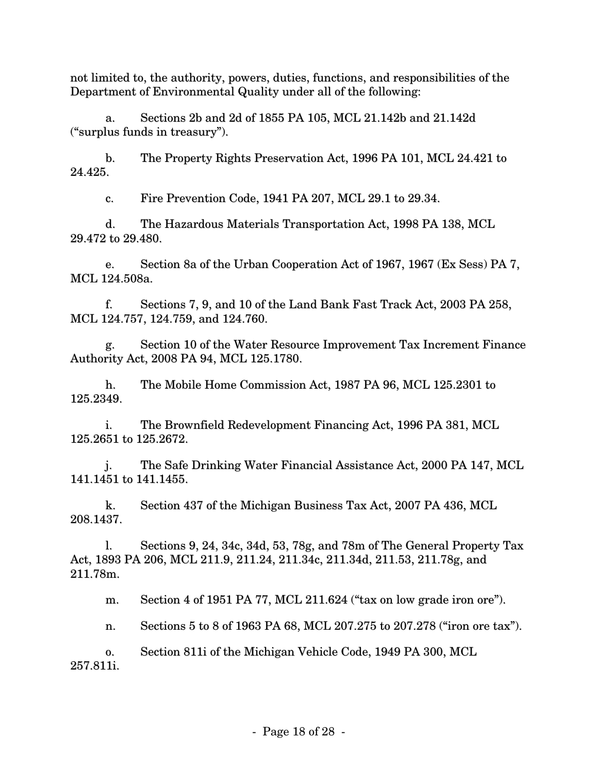not limited to, the authority, powers, duties, functions, and responsibilities of the Department of Environmental Quality under all of the following:

a. Sections 2b and 2d of 1855 PA 105, MCL 21.142b and 21.142d ("surplus funds in treasury").

b. The Property Rights Preservation Act, 1996 PA 101, MCL 24.421 to 24.425.

c. Fire Prevention Code, 1941 PA 207, MCL 29.1 to 29.34.

d. The Hazardous Materials Transportation Act, 1998 PA 138, MCL 29.472 to 29.480.

e. Section 8a of the Urban Cooperation Act of 1967, 1967 (Ex Sess) PA 7, MCL 124.508a.

f. Sections 7, 9, and 10 of the Land Bank Fast Track Act, 2003 PA 258, MCL 124.757, 124.759, and 124.760.

g. Section 10 of the Water Resource Improvement Tax Increment Finance Authority Act, 2008 PA 94, MCL 125.1780.

h. The Mobile Home Commission Act, 1987 PA 96, MCL 125.2301 to 125.2349.

i. The Brownfield Redevelopment Financing Act, 1996 PA 381, MCL 125.2651 to 125.2672.

j. The Safe Drinking Water Financial Assistance Act, 2000 PA 147, MCL 141.1451 to 141.1455.

k. Section 437 of the Michigan Business Tax Act, 2007 PA 436, MCL 208.1437.

l. Sections 9, 24, 34c, 34d, 53, 78g, and 78m of The General Property Tax Act, 1893 PA 206, MCL 211.9, 211.24, 211.34c, 211.34d, 211.53, 211.78g, and 211.78m.

m. Section 4 of 1951 PA 77, MCL 211.624 ("tax on low grade iron ore").

n. Sections 5 to 8 of 1963 PA 68, MCL 207.275 to 207.278 ("iron ore tax").

o. Section 811i of the Michigan Vehicle Code, 1949 PA 300, MCL 257.811i.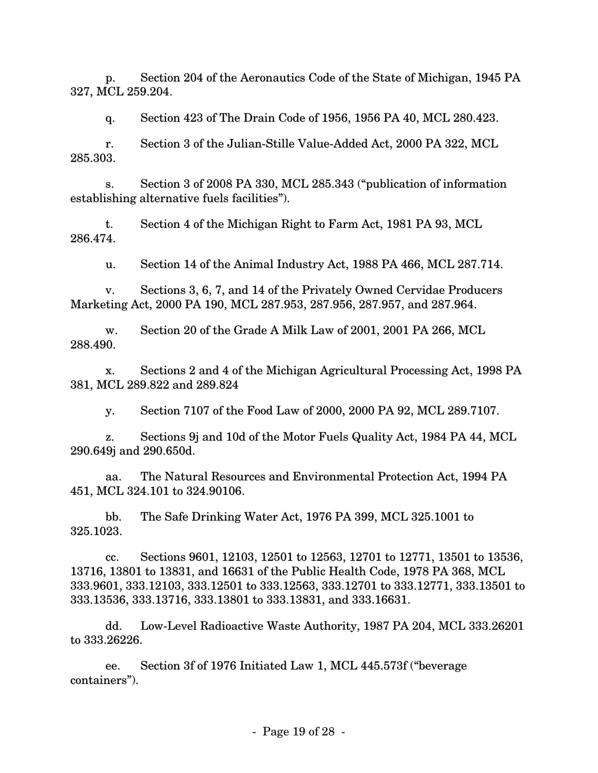p. Section 204 of the Aeronautics Code of the State of Michigan, 1945 PA 327, MCL 259.204.

q. Section 423 of The Drain Code of 1956, 1956 PA 40, MCL 280.423.

r. Section 3 of the Julian-Stille Value-Added Act, 2000 PA 322, MCL 285.303.

s. Section 3 of 2008 PA 330, MCL 285.343 ("publication of information establishing alternative fuels facilities").

t. Section 4 of the Michigan Right to Farm Act, 1981 PA 93, MCL 286.474.

u. Section 14 of the Animal Industry Act, 1988 PA 466, MCL 287.714.

v. Sections 3, 6, 7, and 14 of the Privately Owned Cervidae Producers Marketing Act, 2000 PA 190, MCL 287.953, 287.956, 287.957, and 287.964.

w. Section 20 of the Grade A Milk Law of 2001, 2001 PA 266, MCL 288.490.

x. Sections 2 and 4 of the Michigan Agricultural Processing Act, 1998 PA 381, MCL 289.822 and 289.824

y. Section 7107 of the Food Law of 2000, 2000 PA 92, MCL 289.7107.

z. Sections 9j and 10d of the Motor Fuels Quality Act, 1984 PA 44, MCL 290.649j and 290.650d.

aa. The Natural Resources and Environmental Protection Act, 1994 PA 451, MCL 324.101 to 324.90106.

bb. The Safe Drinking Water Act, 1976 PA 399, MCL 325.1001 to 325.1023.

cc. Sections 9601, 12103, 12501 to 12563, 12701 to 12771, 13501 to 13536, 13716, 13801 to 13831, and 16631 of the Public Health Code, 1978 PA 368, MCL 333.9601, 333.12103, 333.12501 to 333.12563, 333.12701 to 333.12771, 333.13501 to 333.13536, 333.13716, 333.13801 to 333.13831, and 333.16631.

dd. Low-Level Radioactive Waste Authority, 1987 PA 204, MCL 333.26201 to 333.26226.

ee. Section 3f of 1976 Initiated Law 1, MCL 445.573f ("beverage containers").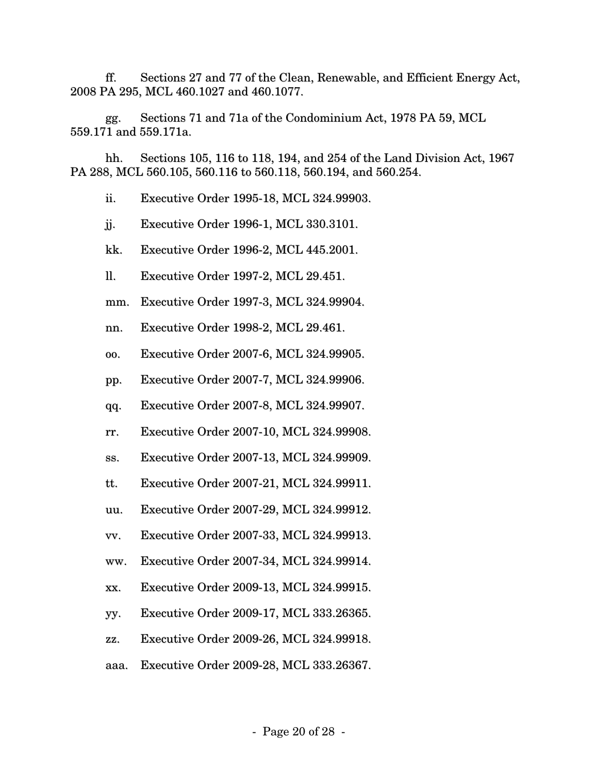ff. Sections 27 and 77 of the Clean, Renewable, and Efficient Energy Act, 2008 PA 295, MCL 460.1027 and 460.1077.

gg. Sections 71 and 71a of the Condominium Act, 1978 PA 59, MCL 559.171 and 559.171a.

hh. Sections 105, 116 to 118, 194, and 254 of the Land Division Act, 1967 PA 288, MCL 560.105, 560.116 to 560.118, 560.194, and 560.254.

ii. Executive Order 1995-18, MCL 324.99903.

jj. Executive Order 1996-1, MCL 330.3101.

kk. Executive Order 1996-2, MCL 445.2001.

ll. Executive Order 1997-2, MCL 29.451.

mm. Executive Order 1997-3, MCL 324.99904.

nn. Executive Order 1998-2, MCL 29.461.

oo. Executive Order 2007-6, MCL 324.99905.

pp. Executive Order 2007-7, MCL 324.99906.

qq. Executive Order 2007-8, MCL 324.99907.

rr. Executive Order 2007-10, MCL 324.99908.

ss. Executive Order 2007-13, MCL 324.99909.

tt. Executive Order 2007-21, MCL 324.99911.

uu. Executive Order 2007-29, MCL 324.99912.

vv. Executive Order 2007-33, MCL 324.99913.

ww. Executive Order 2007-34, MCL 324.99914.

xx. Executive Order 2009-13, MCL 324.99915.

yy. Executive Order 2009-17, MCL 333.26365.

zz. Executive Order 2009-26, MCL 324.99918.

aaa. Executive Order 2009-28, MCL 333.26367.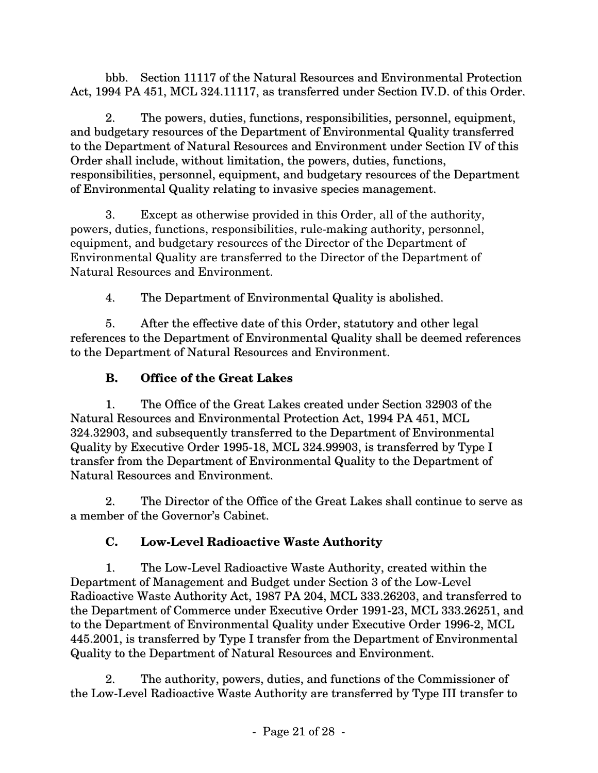bbb. Section 11117 of the Natural Resources and Environmental Protection Act, 1994 PA 451, MCL 324.11117, as transferred under Section IV.D. of this Order.

2. The powers, duties, functions, responsibilities, personnel, equipment, and budgetary resources of the Department of Environmental Quality transferred to the Department of Natural Resources and Environment under Section IV of this Order shall include, without limitation, the powers, duties, functions, responsibilities, personnel, equipment, and budgetary resources of the Department of Environmental Quality relating to invasive species management.

3. Except as otherwise provided in this Order, all of the authority, powers, duties, functions, responsibilities, rule-making authority, personnel, equipment, and budgetary resources of the Director of the Department of Environmental Quality are transferred to the Director of the Department of Natural Resources and Environment.

4. The Department of Environmental Quality is abolished.

5. After the effective date of this Order, statutory and other legal references to the Department of Environmental Quality shall be deemed references to the Department of Natural Resources and Environment.

## **B. Office of the Great Lakes**

1. The Office of the Great Lakes created under Section 32903 of the Natural Resources and Environmental Protection Act, 1994 PA 451, MCL 324.32903, and subsequently transferred to the Department of Environmental Quality by Executive Order 1995-18, MCL 324.99903, is transferred by Type I transfer from the Department of Environmental Quality to the Department of Natural Resources and Environment.

2. The Director of the Office of the Great Lakes shall continue to serve as a member of the Governor's Cabinet.

## **C. Low-Level Radioactive Waste Authority**

1. The Low-Level Radioactive Waste Authority, created within the Department of Management and Budget under Section 3 of the Low-Level Radioactive Waste Authority Act, 1987 PA 204, MCL 333.26203, and transferred to the Department of Commerce under Executive Order 1991-23, MCL 333.26251, and to the Department of Environmental Quality under Executive Order 1996-2, MCL 445.2001, is transferred by Type I transfer from the Department of Environmental Quality to the Department of Natural Resources and Environment.

2. The authority, powers, duties, and functions of the Commissioner of the Low-Level Radioactive Waste Authority are transferred by Type III transfer to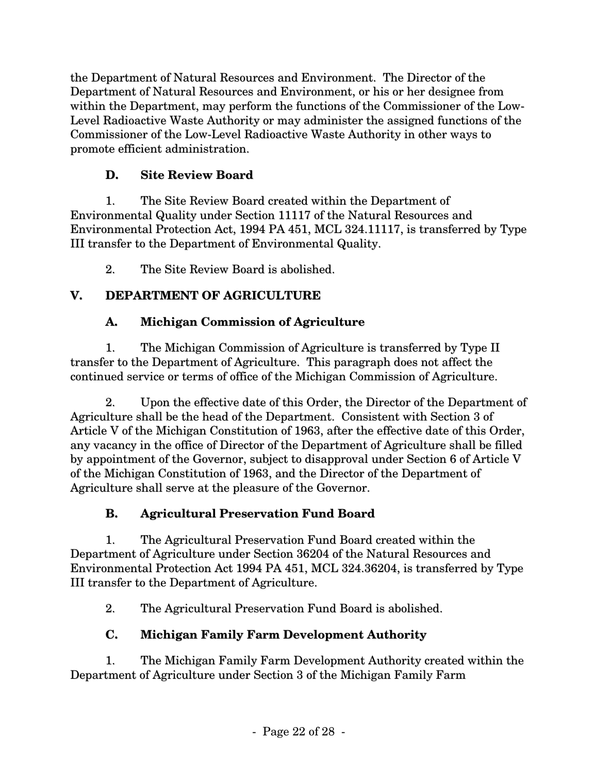the Department of Natural Resources and Environment. The Director of the Department of Natural Resources and Environment, or his or her designee from within the Department, may perform the functions of the Commissioner of the Low-Level Radioactive Waste Authority or may administer the assigned functions of the Commissioner of the Low-Level Radioactive Waste Authority in other ways to promote efficient administration.

### **D. Site Review Board**

1. The Site Review Board created within the Department of Environmental Quality under Section 11117 of the Natural Resources and Environmental Protection Act, 1994 PA 451, MCL 324.11117, is transferred by Type III transfer to the Department of Environmental Quality.

2. The Site Review Board is abolished.

## **V. DEPARTMENT OF AGRICULTURE**

### **A. Michigan Commission of Agriculture**

1. The Michigan Commission of Agriculture is transferred by Type II transfer to the Department of Agriculture. This paragraph does not affect the continued service or terms of office of the Michigan Commission of Agriculture.

2. Upon the effective date of this Order, the Director of the Department of Agriculture shall be the head of the Department. Consistent with Section 3 of Article V of the Michigan Constitution of 1963, after the effective date of this Order, any vacancy in the office of Director of the Department of Agriculture shall be filled by appointment of the Governor, subject to disapproval under Section 6 of Article V of the Michigan Constitution of 1963, and the Director of the Department of Agriculture shall serve at the pleasure of the Governor.

## **B. Agricultural Preservation Fund Board**

1. The Agricultural Preservation Fund Board created within the Department of Agriculture under Section 36204 of the Natural Resources and Environmental Protection Act 1994 PA 451, MCL 324.36204, is transferred by Type III transfer to the Department of Agriculture.

2. The Agricultural Preservation Fund Board is abolished.

# **C. Michigan Family Farm Development Authority**

1. The Michigan Family Farm Development Authority created within the Department of Agriculture under Section 3 of the Michigan Family Farm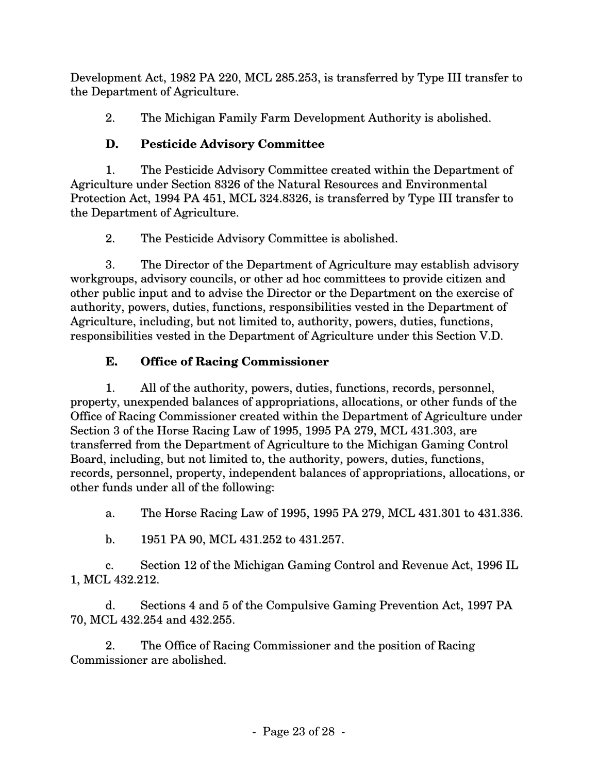Development Act, 1982 PA 220, MCL 285.253, is transferred by Type III transfer to the Department of Agriculture.

2. The Michigan Family Farm Development Authority is abolished.

# **D. Pesticide Advisory Committee**

1. The Pesticide Advisory Committee created within the Department of Agriculture under Section 8326 of the Natural Resources and Environmental Protection Act, 1994 PA 451, MCL 324.8326, is transferred by Type III transfer to the Department of Agriculture.

2. The Pesticide Advisory Committee is abolished.

3. The Director of the Department of Agriculture may establish advisory workgroups, advisory councils, or other ad hoc committees to provide citizen and other public input and to advise the Director or the Department on the exercise of authority, powers, duties, functions, responsibilities vested in the Department of Agriculture, including, but not limited to, authority, powers, duties, functions, responsibilities vested in the Department of Agriculture under this Section V.D.

# **E. Office of Racing Commissioner**

1. All of the authority, powers, duties, functions, records, personnel, property, unexpended balances of appropriations, allocations, or other funds of the Office of Racing Commissioner created within the Department of Agriculture under Section 3 of the Horse Racing Law of 1995, 1995 PA 279, MCL 431.303, are transferred from the Department of Agriculture to the Michigan Gaming Control Board, including, but not limited to, the authority, powers, duties, functions, records, personnel, property, independent balances of appropriations, allocations, or other funds under all of the following:

a. The Horse Racing Law of 1995, 1995 PA 279, MCL 431.301 to 431.336.

b. 1951 PA 90, MCL 431.252 to 431.257.

c. Section 12 of the Michigan Gaming Control and Revenue Act, 1996 IL 1, MCL 432.212.

d. Sections 4 and 5 of the Compulsive Gaming Prevention Act, 1997 PA 70, MCL 432.254 and 432.255.

2. The Office of Racing Commissioner and the position of Racing Commissioner are abolished.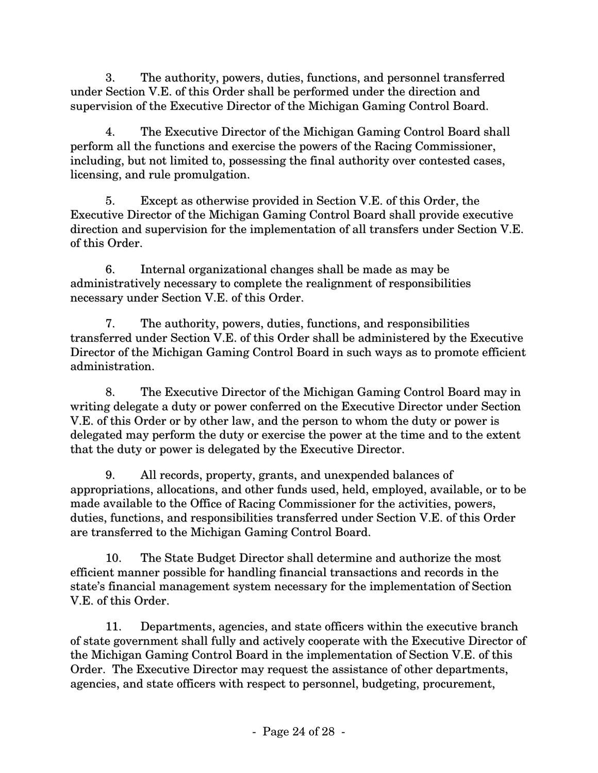3. The authority, powers, duties, functions, and personnel transferred under Section V.E. of this Order shall be performed under the direction and supervision of the Executive Director of the Michigan Gaming Control Board.

4. The Executive Director of the Michigan Gaming Control Board shall perform all the functions and exercise the powers of the Racing Commissioner, including, but not limited to, possessing the final authority over contested cases, licensing, and rule promulgation.

5. Except as otherwise provided in Section V.E. of this Order, the Executive Director of the Michigan Gaming Control Board shall provide executive direction and supervision for the implementation of all transfers under Section V.E. of this Order.

6. Internal organizational changes shall be made as may be administratively necessary to complete the realignment of responsibilities necessary under Section V.E. of this Order.

7. The authority, powers, duties, functions, and responsibilities transferred under Section V.E. of this Order shall be administered by the Executive Director of the Michigan Gaming Control Board in such ways as to promote efficient administration.

8. The Executive Director of the Michigan Gaming Control Board may in writing delegate a duty or power conferred on the Executive Director under Section V.E. of this Order or by other law, and the person to whom the duty or power is delegated may perform the duty or exercise the power at the time and to the extent that the duty or power is delegated by the Executive Director.

9. All records, property, grants, and unexpended balances of appropriations, allocations, and other funds used, held, employed, available, or to be made available to the Office of Racing Commissioner for the activities, powers, duties, functions, and responsibilities transferred under Section V.E. of this Order are transferred to the Michigan Gaming Control Board.

10. The State Budget Director shall determine and authorize the most efficient manner possible for handling financial transactions and records in the state's financial management system necessary for the implementation of Section V.E. of this Order.

11. Departments, agencies, and state officers within the executive branch of state government shall fully and actively cooperate with the Executive Director of the Michigan Gaming Control Board in the implementation of Section V.E. of this Order. The Executive Director may request the assistance of other departments, agencies, and state officers with respect to personnel, budgeting, procurement,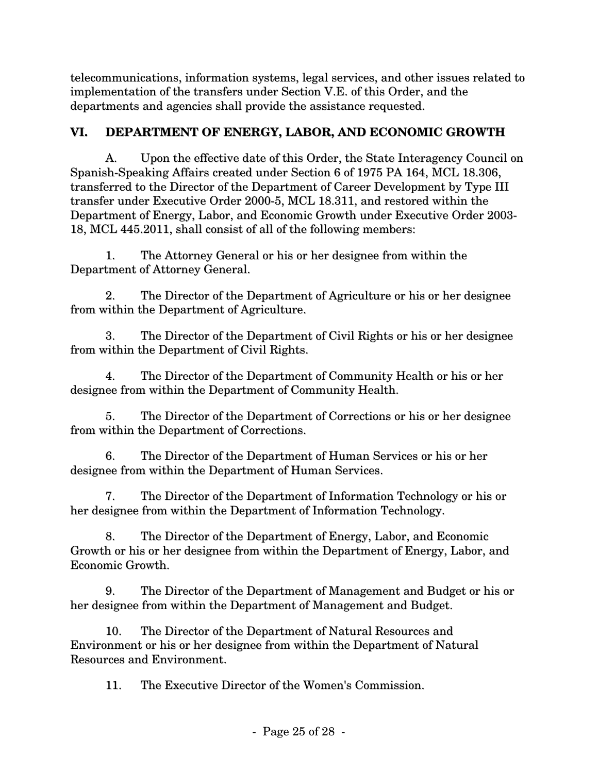telecommunications, information systems, legal services, and other issues related to implementation of the transfers under Section V.E. of this Order, and the departments and agencies shall provide the assistance requested.

### **VI. DEPARTMENT OF ENERGY, LABOR, AND ECONOMIC GROWTH**

A. Upon the effective date of this Order, the State Interagency Council on Spanish-Speaking Affairs created under Section 6 of 1975 PA 164, MCL 18.306, transferred to the Director of the Department of Career Development by Type III transfer under Executive Order 2000-5, MCL 18.311, and restored within the Department of Energy, Labor, and Economic Growth under Executive Order 2003- 18, MCL 445.2011, shall consist of all of the following members:

1. The Attorney General or his or her designee from within the Department of Attorney General.

2. The Director of the Department of Agriculture or his or her designee from within the Department of Agriculture.

3. The Director of the Department of Civil Rights or his or her designee from within the Department of Civil Rights.

4. The Director of the Department of Community Health or his or her designee from within the Department of Community Health.

5. The Director of the Department of Corrections or his or her designee from within the Department of Corrections.

6. The Director of the Department of Human Services or his or her designee from within the Department of Human Services.

7. The Director of the Department of Information Technology or his or her designee from within the Department of Information Technology.

8. The Director of the Department of Energy, Labor, and Economic Growth or his or her designee from within the Department of Energy, Labor, and Economic Growth.

9. The Director of the Department of Management and Budget or his or her designee from within the Department of Management and Budget.

10. The Director of the Department of Natural Resources and Environment or his or her designee from within the Department of Natural Resources and Environment.

11. The Executive Director of the Women's Commission.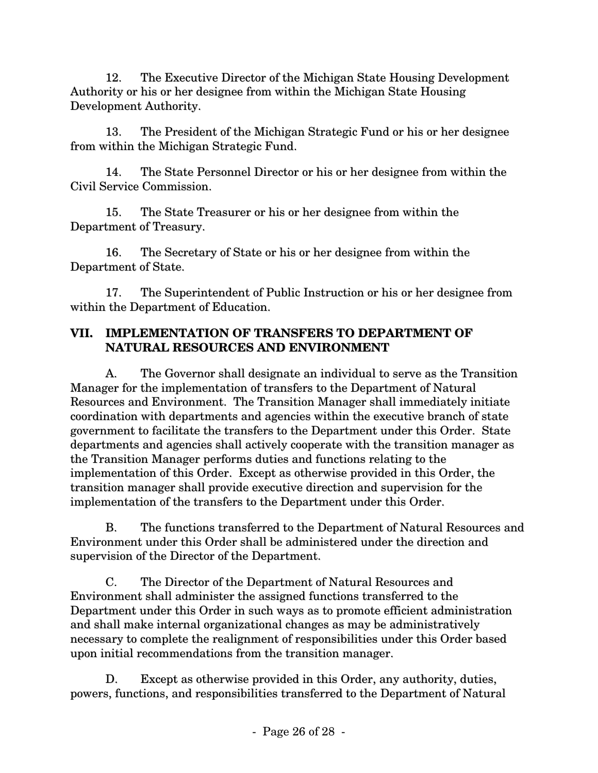12. The Executive Director of the Michigan State Housing Development Authority or his or her designee from within the Michigan State Housing Development Authority.

13. The President of the Michigan Strategic Fund or his or her designee from within the Michigan Strategic Fund.

14. The State Personnel Director or his or her designee from within the Civil Service Commission.

15. The State Treasurer or his or her designee from within the Department of Treasury.

16. The Secretary of State or his or her designee from within the Department of State.

17. The Superintendent of Public Instruction or his or her designee from within the Department of Education.

#### **VII. IMPLEMENTATION OF TRANSFERS TO DEPARTMENT OF NATURAL RESOURCES AND ENVIRONMENT**

A. The Governor shall designate an individual to serve as the Transition Manager for the implementation of transfers to the Department of Natural Resources and Environment. The Transition Manager shall immediately initiate coordination with departments and agencies within the executive branch of state government to facilitate the transfers to the Department under this Order. State departments and agencies shall actively cooperate with the transition manager as the Transition Manager performs duties and functions relating to the implementation of this Order. Except as otherwise provided in this Order, the transition manager shall provide executive direction and supervision for the implementation of the transfers to the Department under this Order.

B. The functions transferred to the Department of Natural Resources and Environment under this Order shall be administered under the direction and supervision of the Director of the Department.

C. The Director of the Department of Natural Resources and Environment shall administer the assigned functions transferred to the Department under this Order in such ways as to promote efficient administration and shall make internal organizational changes as may be administratively necessary to complete the realignment of responsibilities under this Order based upon initial recommendations from the transition manager.

D. Except as otherwise provided in this Order, any authority, duties, powers, functions, and responsibilities transferred to the Department of Natural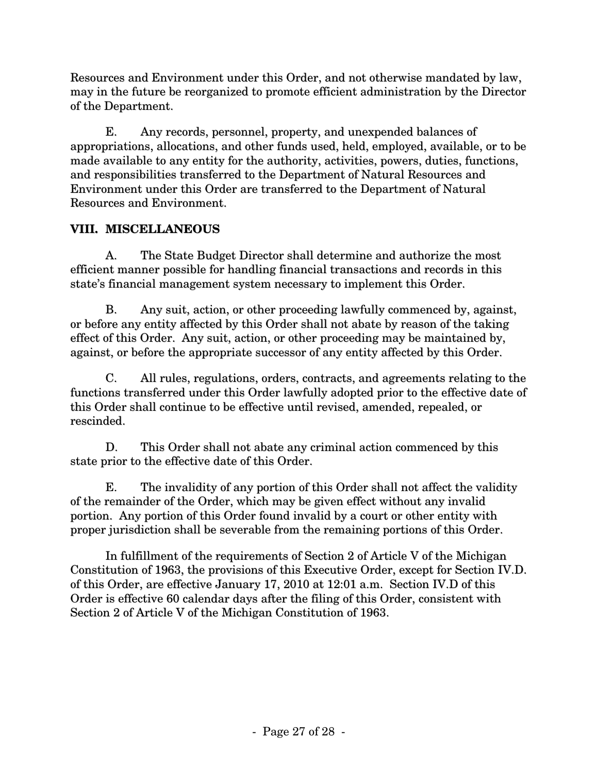Resources and Environment under this Order, and not otherwise mandated by law, may in the future be reorganized to promote efficient administration by the Director of the Department.

E. Any records, personnel, property, and unexpended balances of appropriations, allocations, and other funds used, held, employed, available, or to be made available to any entity for the authority, activities, powers, duties, functions, and responsibilities transferred to the Department of Natural Resources and Environment under this Order are transferred to the Department of Natural Resources and Environment.

#### **VIII. MISCELLANEOUS**

A. The State Budget Director shall determine and authorize the most efficient manner possible for handling financial transactions and records in this state's financial management system necessary to implement this Order.

B. Any suit, action, or other proceeding lawfully commenced by, against, or before any entity affected by this Order shall not abate by reason of the taking effect of this Order. Any suit, action, or other proceeding may be maintained by, against, or before the appropriate successor of any entity affected by this Order.

C. All rules, regulations, orders, contracts, and agreements relating to the functions transferred under this Order lawfully adopted prior to the effective date of this Order shall continue to be effective until revised, amended, repealed, or rescinded.

D. This Order shall not abate any criminal action commenced by this state prior to the effective date of this Order.

E. The invalidity of any portion of this Order shall not affect the validity of the remainder of the Order, which may be given effect without any invalid portion. Any portion of this Order found invalid by a court or other entity with proper jurisdiction shall be severable from the remaining portions of this Order.

In fulfillment of the requirements of Section 2 of Article V of the Michigan Constitution of 1963, the provisions of this Executive Order, except for Section IV.D. of this Order, are effective January 17, 2010 at 12:01 a.m. Section IV.D of this Order is effective 60 calendar days after the filing of this Order, consistent with Section 2 of Article V of the Michigan Constitution of 1963.